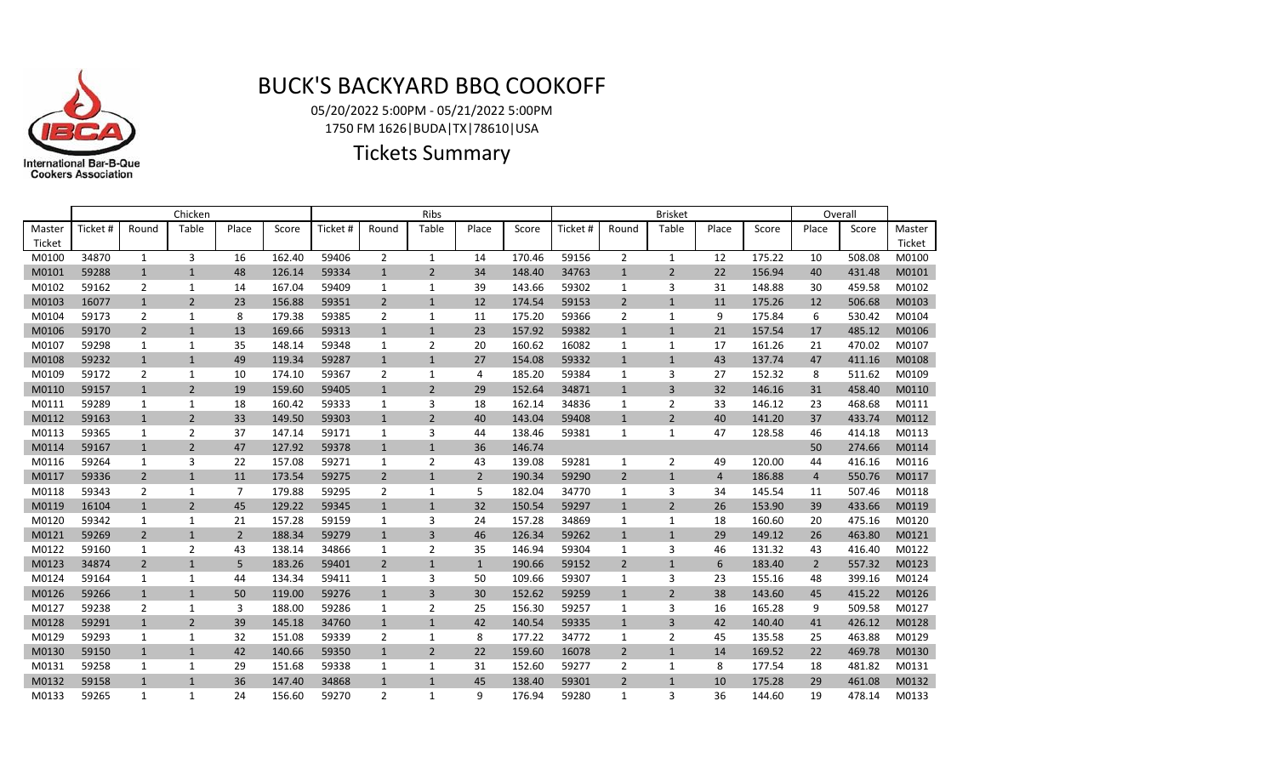

## BUCK'S BACKYARD BBQ COOKOFF

05/20/2022 5:00PM - 05/21/2022 5:00PM 1750 FM 1626|BUDA|TX|78610|USA

Tickets Summary

|        | Chicken  |                |                |                |        | Ribs     |                |                |                |        | <b>Brisket</b> |                |                |                |        | Overall        |        |        |
|--------|----------|----------------|----------------|----------------|--------|----------|----------------|----------------|----------------|--------|----------------|----------------|----------------|----------------|--------|----------------|--------|--------|
| Master | Ticket # | Round          | Table          | Place          | Score  | Ticket # | Round          | Table          | Place          | Score  | Ticket #       | Round          | Table          | Place          | Score  | Place          | Score  | Master |
| Ticket |          |                |                |                |        |          |                |                |                |        |                |                |                |                |        |                |        | Ticket |
| M0100  | 34870    | $\mathbf{1}$   | 3              | 16             | 162.40 | 59406    | $\overline{2}$ | $\mathbf{1}$   | 14             | 170.46 | 59156          | $\overline{2}$ | $\mathbf{1}$   | 12             | 175.22 | 10             | 508.08 | M0100  |
| M0101  | 59288    | $\mathbf{1}$   | $\mathbf{1}$   | 48             | 126.14 | 59334    | $\mathbf{1}$   | $\overline{2}$ | 34             | 148.40 | 34763          | $\mathbf{1}$   | $\overline{2}$ | 22             | 156.94 | 40             | 431.48 | M0101  |
| M0102  | 59162    | $\overline{2}$ | 1              | 14             | 167.04 | 59409    | 1              | $\mathbf{1}$   | 39             | 143.66 | 59302          | 1              | 3              | 31             | 148.88 | 30             | 459.58 | M0102  |
| M0103  | 16077    | $\mathbf{1}$   | $\overline{2}$ | 23             | 156.88 | 59351    | $\overline{2}$ | $\mathbf{1}$   | 12             | 174.54 | 59153          | $\overline{2}$ | $\mathbf{1}$   | 11             | 175.26 | 12             | 506.68 | M0103  |
| M0104  | 59173    | 2              | 1              | 8              | 179.38 | 59385    | 2              | 1              | 11             | 175.20 | 59366          | 2              | 1              | 9              | 175.84 | 6              | 530.42 | M0104  |
| M0106  | 59170    | $\overline{2}$ | $\mathbf{1}$   | 13             | 169.66 | 59313    | $\mathbf{1}$   | $\mathbf{1}$   | 23             | 157.92 | 59382          | $\mathbf{1}$   | $\mathbf{1}$   | 21             | 157.54 | 17             | 485.12 | M0106  |
| M0107  | 59298    | 1              | 1              | 35             | 148.14 | 59348    | 1              | $\overline{2}$ | 20             | 160.62 | 16082          | 1              | 1              | 17             | 161.26 | 21             | 470.02 | M0107  |
| M0108  | 59232    | $\mathbf{1}$   | $\mathbf{1}$   | 49             | 119.34 | 59287    | $\mathbf{1}$   | $\mathbf{1}$   | 27             | 154.08 | 59332          | $\mathbf{1}$   | $\mathbf{1}$   | 43             | 137.74 | 47             | 411.16 | M0108  |
| M0109  | 59172    | $\overline{2}$ | 1              | 10             | 174.10 | 59367    | $\overline{2}$ | $\mathbf{1}$   | 4              | 185.20 | 59384          | 1              | 3              | 27             | 152.32 | 8              | 511.62 | M0109  |
| M0110  | 59157    | $\mathbf{1}$   | $\overline{2}$ | 19             | 159.60 | 59405    | $\mathbf{1}$   | $\overline{2}$ | 29             | 152.64 | 34871          | $\mathbf{1}$   | 3              | 32             | 146.16 | 31             | 458.40 | M0110  |
| M0111  | 59289    | 1              | 1              | 18             | 160.42 | 59333    | 1              | 3              | 18             | 162.14 | 34836          | 1              | $\overline{2}$ | 33             | 146.12 | 23             | 468.68 | M0111  |
| M0112  | 59163    | $\mathbf{1}$   | $\overline{2}$ | 33             | 149.50 | 59303    | $\mathbf{1}$   | $\overline{2}$ | 40             | 143.04 | 59408          | $\mathbf{1}$   | $\overline{2}$ | 40             | 141.20 | 37             | 433.74 | M0112  |
| M0113  | 59365    | $\mathbf{1}$   | 2              | 37             | 147.14 | 59171    | 1              | 3              | 44             | 138.46 | 59381          | 1              | $\mathbf{1}$   | 47             | 128.58 | 46             | 414.18 | M0113  |
| M0114  | 59167    | $\mathbf{1}$   | $\overline{2}$ | 47             | 127.92 | 59378    | $\mathbf{1}$   | $\mathbf{1}$   | 36             | 146.74 |                |                |                |                |        | 50             | 274.66 | M0114  |
| M0116  | 59264    | 1              | 3              | 22             | 157.08 | 59271    | 1              | $\overline{2}$ | 43             | 139.08 | 59281          | 1              | $\overline{2}$ | 49             | 120.00 | 44             | 416.16 | M0116  |
| M0117  | 59336    | $\overline{2}$ | $\mathbf{1}$   | 11             | 173.54 | 59275    | $\overline{2}$ | $\mathbf{1}$   | $\overline{2}$ | 190.34 | 59290          | $\overline{2}$ | $\mathbf{1}$   | $\overline{4}$ | 186.88 | $\overline{4}$ | 550.76 | M0117  |
| M0118  | 59343    | 2              | 1              | $\overline{7}$ | 179.88 | 59295    | $\overline{2}$ | 1              | 5              | 182.04 | 34770          | 1              | 3              | 34             | 145.54 | 11             | 507.46 | M0118  |
| M0119  | 16104    | $\mathbf{1}$   | $\overline{2}$ | 45             | 129.22 | 59345    | $\mathbf{1}$   | $\mathbf{1}$   | 32             | 150.54 | 59297          | $\mathbf{1}$   | $\overline{2}$ | 26             | 153.90 | 39             | 433.66 | M0119  |
| M0120  | 59342    | 1              | 1              | 21             | 157.28 | 59159    | 1              | 3              | 24             | 157.28 | 34869          | 1              | 1              | 18             | 160.60 | 20             | 475.16 | M0120  |
| M0121  | 59269    | $\overline{2}$ | $\mathbf{1}$   | $\overline{2}$ | 188.34 | 59279    | $\mathbf{1}$   | 3              | 46             | 126.34 | 59262          | $\mathbf{1}$   | $\mathbf{1}$   | 29             | 149.12 | 26             | 463.80 | M0121  |
| M0122  | 59160    | 1              | $\overline{2}$ | 43             | 138.14 | 34866    | 1              | $\overline{2}$ | 35             | 146.94 | 59304          | 1              | 3              | 46             | 131.32 | 43             | 416.40 | M0122  |
| M0123  | 34874    | $\overline{2}$ | $\mathbf{1}$   | 5              | 183.26 | 59401    | $\overline{2}$ | $\mathbf{1}$   | $\mathbf{1}$   | 190.66 | 59152          | $\overline{2}$ | $\mathbf{1}$   | 6              | 183.40 | $\overline{2}$ | 557.32 | M0123  |
| M0124  | 59164    | 1              | 1              | 44             | 134.34 | 59411    | 1              | 3              | 50             | 109.66 | 59307          | 1              | 3              | 23             | 155.16 | 48             | 399.16 | M0124  |
| M0126  | 59266    | $\mathbf{1}$   | $\mathbf{1}$   | 50             | 119.00 | 59276    | $\mathbf{1}$   | $\overline{3}$ | 30             | 152.62 | 59259          | $\mathbf{1}$   | $\overline{2}$ | 38             | 143.60 | 45             | 415.22 | M0126  |
| M0127  | 59238    | 2              | 1              | 3              | 188.00 | 59286    | 1              | $\overline{2}$ | 25             | 156.30 | 59257          | 1              | 3              | 16             | 165.28 | 9              | 509.58 | M0127  |
| M0128  | 59291    | $\mathbf{1}$   | $\overline{2}$ | 39             | 145.18 | 34760    | $\mathbf{1}$   | $\mathbf{1}$   | 42             | 140.54 | 59335          | $\mathbf{1}$   | 3              | 42             | 140.40 | 41             | 426.12 | M0128  |
| M0129  | 59293    | $\mathbf{1}$   | 1              | 32             | 151.08 | 59339    | $\overline{2}$ | $\mathbf{1}$   | 8              | 177.22 | 34772          | 1              | 2              | 45             | 135.58 | 25             | 463.88 | M0129  |
| M0130  | 59150    | $\mathbf{1}$   | $\mathbf{1}$   | 42             | 140.66 | 59350    | $\mathbf{1}$   | $\overline{2}$ | 22             | 159.60 | 16078          | $\overline{2}$ | $\mathbf{1}$   | 14             | 169.52 | 22             | 469.78 | M0130  |
| M0131  | 59258    | $\mathbf{1}$   | 1              | 29             | 151.68 | 59338    | 1              | 1              | 31             | 152.60 | 59277          | 2              | 1              | 8              | 177.54 | 18             | 481.82 | M0131  |
| M0132  | 59158    | $\mathbf{1}$   | $\mathbf{1}$   | 36             | 147.40 | 34868    | $\mathbf{1}$   | $\mathbf{1}$   | 45             | 138.40 | 59301          | $\overline{2}$ | $\mathbf{1}$   | 10             | 175.28 | 29             | 461.08 | M0132  |
| M0133  | 59265    | 1              | 1              | 24             | 156.60 | 59270    | $\overline{2}$ | 1              | 9              | 176.94 | 59280          | $\mathbf{1}$   | 3              | 36             | 144.60 | 19             | 478.14 | M0133  |